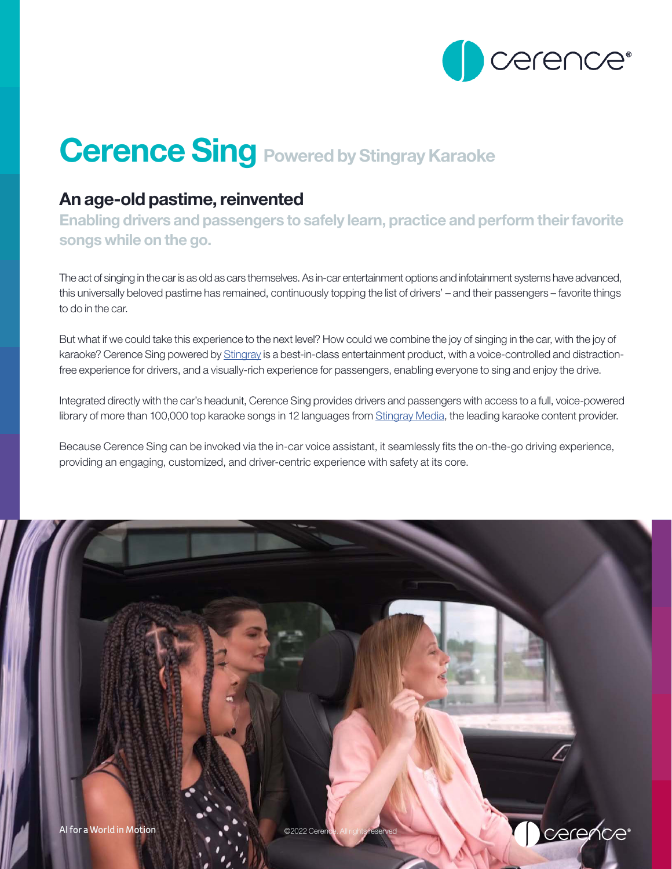

# **Cerence Sing Powered by Stingray Karaoke**

## An age-old pastime, reinvented

Enabling drivers and passengers to safely learn, practice and perform their favorite songs while on the go.

The act of singing in the car is as old as cars themselves. As in-car entertainment options and infotainment systems have advanced, this universally beloved pastime has remained, continuously topping the list of drivers' – and their passengers – favorite things to do in the car.

But what if we could take this experience to the next level? How could we combine the joy of singing in the car, with the joy of karaoke? Cerence Sing powered by [Stingray](https://www.stingray.com/) is a best-in-class entertainment product, with a voice-controlled and distractionfree experience for drivers, and a visually-rich experience for passengers, enabling everyone to sing and enjoy the drive.

Integrated directly with the car's headunit, Cerence Sing provides drivers and passengers with access to a full, voice-powered library of more than 100,000 top karaoke songs in 12 languages from [Stingray Media,](https://www.stingray.com/) the leading karaoke content provider.

Because Cerence Sing can be invoked via the in-car voice assistant, it seamlessly fits the on-the-go driving experience, providing an engaging, customized, and driver-centric experience with safety at its core.